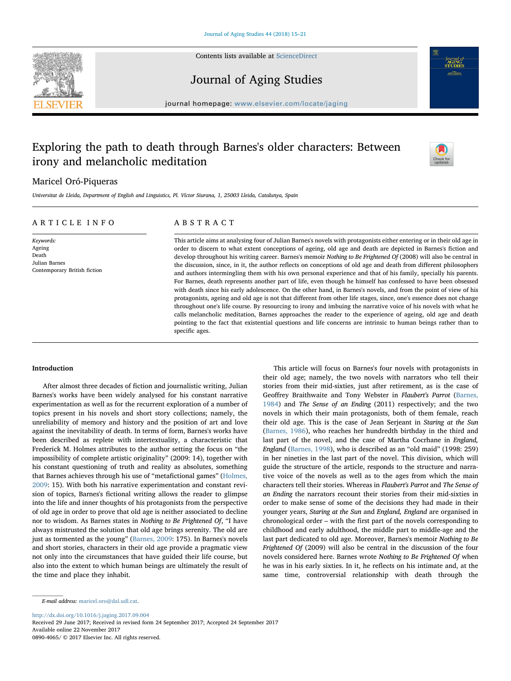

Contents lists available at [ScienceDirect](http://www.sciencedirect.com/science/journal/08904065)

# Journal of Aging Studies

journal homepage: [www.elsevier.com/locate/jaging](https://www.elsevier.com/locate/jaging)

# Exploring the path to death through Barnes's older characters: Between irony and melancholic meditation



*-journal of*<br>STUDIES **SAN R P. CURRICH** 

# Maricel Oró-Piqueras

Universitat de Lleida, Department of English and Linguistics, Pl. Víctor Siurana, 1, 25003 Lleida, Catalunya, Spain

# ARTICLE INFO

Keywords: Ageing Death Julian Barnes Contemporary British fiction

# ABSTRACT

This article aims at analysing four of Julian Barnes's novels with protagonists either entering or in their old age in order to discern to what extent conceptions of ageing, old age and death are depicted in Barnes's fiction and develop throughout his writing career. Barnes's memoir Nothing to Be Frightened Of (2008) will also be central in the discussion, since, in it, the author reflects on conceptions of old age and death from different philosophers and authors intermingling them with his own personal experience and that of his family, specially his parents. For Barnes, death represents another part of life, even though he himself has confessed to have been obsessed with death since his early adolescence. On the other hand, in Barnes's novels, and from the point of view of his protagonists, ageing and old age is not that different from other life stages, since, one's essence does not change throughout one's life course. By resourcing to irony and imbuing the narrative voice of his novels with what he calls melancholic meditation, Barnes approaches the reader to the experience of ageing, old age and death pointing to the fact that existential questions and life concerns are intrinsic to human beings rather than to specific ages.

## Introduction

After almost three decades of fiction and journalistic writing, Julian Barnes's works have been widely analysed for his constant narrative experimentation as well as for the recurrent exploration of a number of topics present in his novels and short story collections; namely, the unreliability of memory and history and the position of art and love against the inevitability of death. In terms of form, Barnes's works have been described as replete with intertextuality, a characteristic that Frederick M. Holmes attributes to the author setting the focus on "the impossibility of complete artistic originality" (2009: 14), together with his constant questioning of truth and reality as absolutes, something that Barnes achieves through his use of "metafictional games" ([Holmes,](#page-6-0) [2009:](#page-6-0) 15). With both his narrative experimentation and constant revision of topics, Barnes's fictional writing allows the reader to glimpse into the life and inner thoughts of his protagonists from the perspective of old age in order to prove that old age is neither associated to decline nor to wisdom. As Barnes states in Nothing to Be Frightened Of, "I have always mistrusted the solution that old age brings serenity. The old are just as tormented as the young" ([Barnes, 2009:](#page-6-1) 175). In Barnes's novels and short stories, characters in their old age provide a pragmatic view not only into the circumstances that have guided their life course, but also into the extent to which human beings are ultimately the result of the time and place they inhabit.

This article will focus on Barnes's four novels with protagonists in their old age; namely, the two novels with narrators who tell their stories from their mid-sixties, just after retirement, as is the case of Geoffrey Braithwaite and Tony Webster in Flaubert's Parrot ([Barnes,](#page-6-2) [1984\)](#page-6-2) and The Sense of an Ending (2011) respectively; and the two novels in which their main protagonists, both of them female, reach their old age. This is the case of Jean Serjeant in Staring at the Sun ([Barnes, 1986](#page-6-3)), who reaches her hundredth birthday in the third and last part of the novel, and the case of Martha Cocrhane in England, England ([Barnes, 1998](#page-6-4)), who is described as an "old maid" (1998: 259) in her nineties in the last part of the novel. This division, which will guide the structure of the article, responds to the structure and narrative voice of the novels as well as to the ages from which the main characters tell their stories. Whereas in Flaubert's Parrot and The Sense of an Ending the narrators recount their stories from their mid-sixties in order to make sense of some of the decisions they had made in their younger years, Staring at the Sun and England, England are organised in chronological order – with the first part of the novels corresponding to childhood and early adulthood, the middle part to middle-age and the last part dedicated to old age. Moreover, Barnes's memoir Nothing to Be Frightened Of (2009) will also be central in the discussion of the four novels considered here. Barnes wrote Nothing to Be Frightened Of when he was in his early sixties. In it, he reflects on his intimate and, at the same time, controversial relationship with death through the

<http://dx.doi.org/10.1016/j.jaging.2017.09.004>

Received 29 June 2017; Received in revised form 24 September 2017; Accepted 24 September 2017 Available online 22 November 2017

0890-4065/ © 2017 Elsevier Inc. All rights reserved.

E-mail address: [maricel.oro@dal.udl.cat](mailto:maricel.oro@dal.udl.cat).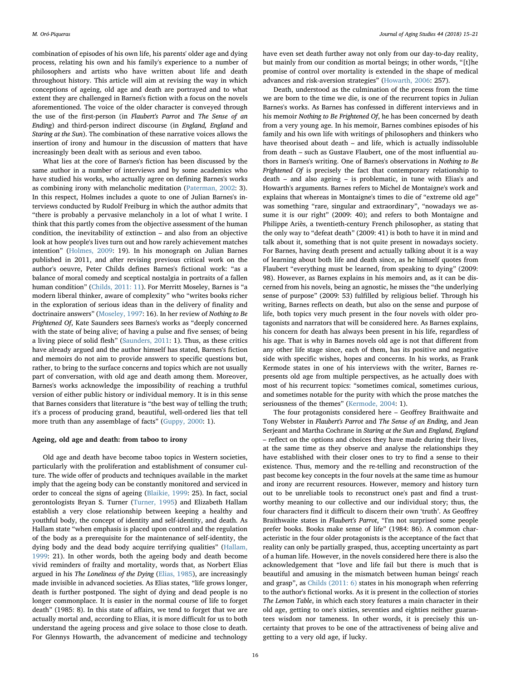combination of episodes of his own life, his parents' older age and dying process, relating his own and his family's experience to a number of philosophers and artists who have written about life and death throughout history. This article will aim at revising the way in which conceptions of ageing, old age and death are portrayed and to what extent they are challenged in Barnes's fiction with a focus on the novels aforementioned. The voice of the older character is conveyed through the use of the first-person (in Flaubert's Parrot and The Sense of an Ending) and third-person indirect discourse (in England, England and Staring at the Sun). The combination of these narrative voices allows the insertion of irony and humour in the discussion of matters that have increasingly been dealt with as serious and even taboo.

What lies at the core of Barnes's fiction has been discussed by the same author in a number of interviews and by some academics who have studied his works, who actually agree on defining Barnes's works as combining irony with melancholic meditation [\(Paterman, 2002](#page-6-5): 3). In this respect, Holmes includes a quote to one of Julian Barnes's interviews conducted by Rudolf Freiburg in which the author admits that "there is probably a pervasive melancholy in a lot of what I write. I think that this partly comes from the objective assessment of the human condition, the inevitability of extinction – and also from an objective look at how people's lives turn out and how rarely achievement matches intention" [\(Holmes, 2009](#page-6-0): 19). In his monograph on Julian Barnes published in 2011, and after revising previous critical work on the author's oeuvre, Peter Childs defines Barnes's fictional work: "as a balance of moral comedy and sceptical nostalgia in portraits of a fallen human condition" ([Childs, 2011: 11\)](#page-6-6). For Merritt Moseley, Barnes is "a modern liberal thinker, aware of complexity" who "writes books richer in the exploration of serious ideas than in the delivery of finality and doctrinaire answers" [\(Moseley, 1997](#page-6-7): 16). In her review of Nothing to Be Frightened Of, Kate Saunders sees Barnes's works as "deeply concerned with the state of being alive; of having a pulse and five senses; of being a living piece of solid flesh" ([Saunders, 2011:](#page-6-8) 1). Thus, as these critics have already argued and the author himself has stated, Barnes's fiction and memoirs do not aim to provide answers to specific questions but, rather, to bring to the surface concerns and topics which are not usually part of conversation, with old age and death among them. Moreover, Barnes's works acknowledge the impossibility of reaching a truthful version of either public history or individual memory. It is in this sense that Barnes considers that literature is "the best way of telling the truth; it's a process of producing grand, beautiful, well-ordered lies that tell more truth than any assemblage of facts" [\(Guppy, 2000](#page-6-9): 1).

#### Ageing, old age and death: from taboo to irony

Old age and death have become taboo topics in Western societies, particularly with the proliferation and establishment of consumer culture. The wide offer of products and techniques available in the market imply that the ageing body can be constantly monitored and serviced in order to conceal the signs of ageing [\(Blaikie, 1999:](#page-6-10) 25). In fact, social gerontologists Bryan S. Turner ([Turner, 1995](#page-6-11)) and Elizabeth Hallam establish a very close relationship between keeping a healthy and youthful body, the concept of identity and self-identity, and death. As Hallam state "when emphasis is placed upon control and the regulation of the body as a prerequisite for the maintenance of self-identity, the dying body and the dead body acquire terrifying qualities" ([Hallam,](#page-6-12) [1999:](#page-6-12) 21). In other words, both the ageing body and death become vivid reminders of frailty and mortality, words that, as Norbert Elias argued in his The Loneliness of the Dying ([Elias, 1985](#page-6-13)), are increasingly made invisible in advanced societies. As Elias states, "life grows longer, death is further postponed. The sight of dying and dead people is no longer commonplace. It is easier in the normal course of life to forget death" (1985: 8). In this state of affairs, we tend to forget that we are actually mortal and, according to Elias, it is more difficult for us to both understand the ageing process and give solace to those close to death. For Glennys Howarth, the advancement of medicine and technology

have even set death further away not only from our day-to-day reality, but mainly from our condition as mortal beings; in other words, "[t]he promise of control over mortality is extended in the shape of medical advances and risk-aversion strategies" ([Howarth, 2006](#page-6-14): 257).

Death, understood as the culmination of the process from the time we are born to the time we die, is one of the recurrent topics in Julian Barnes's works. As Barnes has confessed in different interviews and in his memoir Nothing to Be Frightened Of, he has been concerned by death from a very young age. In his memoir, Barnes combines episodes of his family and his own life with writings of philosophers and thinkers who have theorised about death – and life, which is actually indissoluble from death – such as Gustave Flaubert, one of the most influential authors in Barnes's writing. One of Barnes's observations in Nothing to Be Frightened Of is precisely the fact that contemporary relationship to death – and also ageing – is problematic, in tune with Elias's and Howarth's arguments. Barnes refers to Michel de Montaigne's work and explains that whereas in Montaigne's times to die of "extreme old age" was something "rare, singular and extraordinary", "nowadays we assume it is our right" (2009: 40); and refers to both Montaigne and Philippe Ariès, a twentieth-century French philosopher, as stating that the only way to "defeat death" (2009: 41) is both to have it in mind and talk about it, something that is not quite present in nowadays society. For Barnes, having death present and actually talking about it is a way of learning about both life and death since, as he himself quotes from Flaubert "everything must be learned, from speaking to dying" (2009: 98). However, as Barnes explains in his memoirs and, as it can be discerned from his novels, being an agnostic, he misses the "the underlying sense of purpose" (2009: 53) fulfilled by religious belief. Through his writing, Barnes reflects on death, but also on the sense and purpose of life, both topics very much present in the four novels with older protagonists and narrators that will be considered here. As Barnes explains, his concern for death has always been present in his life, regardless of his age. That is why in Barnes novels old age is not that different from any other life stage since, each of them, has its positive and negative side with specific wishes, hopes and concerns. In his works, as Frank Kermode states in one of his interviews with the writer, Barnes represents old age from multiple perspectives, as he actually does with most of his recurrent topics: "sometimes comical, sometimes curious, and sometimes notable for the purity with which the prose matches the seriousness of the themes" [\(Kermode, 2004:](#page-6-15) 1).

The four protagonists considered here – Geoffrey Braithwaite and Tony Webster in Flaubert's Parrot and The Sense of an Ending, and Jean Serjeant and Martha Cochrane in Staring at the Sun and England, England – reflect on the options and choices they have made during their lives, at the same time as they observe and analyse the relationships they have established with their closer ones to try to find a sense to their existence. Thus, memory and the re-telling and reconstruction of the past become key concepts in the four novels at the same time as humour and irony are recurrent resources. However, memory and history turn out to be unreliable tools to reconstruct one's past and find a trustworthy meaning to our collective and our individual story; thus, the four characters find it difficult to discern their own 'truth'. As Geoffrey Braithwaite states in Flaubert's Parrot, "I'm not surprised some people prefer books. Books make sense of life" (1984: 86). A common characteristic in the four older protagonists is the acceptance of the fact that reality can only be partially grasped, thus, accepting uncertainty as part of a human life. However, in the novels considered here there is also the acknowledgement that "love and life fail but there is much that is beautiful and amusing in the mismatch between human beings' reach and grasp", as [Childs \(2011: 6\)](#page-6-6) states in his monograph when referring to the author's fictional works. As it is present in the collection of stories The Lemon Table, in which each story features a main character in their old age, getting to one's sixties, seventies and eighties neither guarantees wisdom nor tameness. In other words, it is precisely this uncertainty that proves to be one of the attractiveness of being alive and getting to a very old age, if lucky.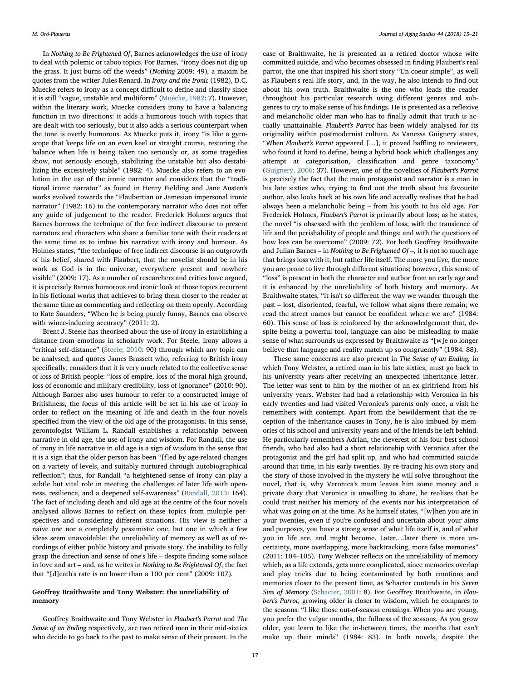In Nothing to Be Frightened Of, Barnes acknowledges the use of irony to deal with polemic or taboo topics. For Barnes, "irony does not dig up the grass. It just burns off the weeds" (Nothing 2009: 49), a maxim he quotes from the writer Jules Renard. In Irony and the Ironic (1982), D.C. Muecke refers to irony as a concept difficult to define and classify since it is still "vague, unstable and multiform" ([Muecke, 1982](#page-6-16): 7). However, within the literary work, Muecke considers irony to have a balancing function in two directions: it adds a humorous touch with topics that are dealt with too seriously, but it also adds a serious counterpart when the tone is overly humorous. As Muecke puts it, irony "is like a gyroscope that keeps life on an even keel or straight course, restoring the balance when life is being taken too seriously or, as some tragedies show, not seriously enough, stabilizing the unstable but also destabilizing the excessively stable" (1982: 4). Muecke also refers to an evolution in the use of the ironic narrator and considers that the "traditional ironic narrator" as found in Henry Fielding and Jane Austen's works evolved towards the "Flaubertian or Jamesian impersonal ironic narrator" (1982: 16) to the contemporary narrator who does not offer any guide of judgement to the reader. Frederick Holmes argues that Barnes borrows the technique of the free indirect discourse to present narrators and characters who share a familiar tone with their readers at the same time as to imbue his narrative with irony and humour. As Holmes states, "the technique of free indirect discourse is an outgrowth of his belief, shared with Flaubert, that the novelist should be in his work as God is in the universe, everywhere present and nowhere visible" (2009: 17). As a number of researchers and critics have argued, it is precisely Barnes humorous and ironic look at those topics recurrent in his fictional works that achieves to bring them closer to the reader at the same time as commenting and reflecting on them openly. According to Kate Saunders, "When he is being purely funny, Barnes can observe with wince-inducing accuracy" (2011: 2).

Brent J. Steele has theorised about the use of irony in establishing a distance from emotions in scholarly work. For Steele, irony allows a "critical self-distance" [\(Steele, 2010](#page-6-17): 90) through which any topic can be analysed; and quotes James Brassett who, referring to British irony specifically, considers that it is very much related to the collective sense of loss of British people: "loss of empire, loss of the moral high ground, loss of economic and military credibility, loss of ignorance" (2010: 90). Although Barnes also uses humour to refer to a constructed image of Britishness, the focus of this article will be set in his use of irony in order to reflect on the meaning of life and death in the four novels specified from the view of the old age of the protagonists. In this sense, gerontologist William L. Randall establishes a relationship between narrative in old age, the use of irony and wisdom. For Randall, the use of irony in life narrative in old age is a sign of wisdom in the sense that it is a sign that the older person has been "[f]ed by age-related changes on a variety of levels, and suitably nurtured through autobiographical reflection"; thus, for Randall "a heightened sense of irony can play a subtle but vital role in meeting the challenges of later life with openness, resilience, and a deepened self-awareness" ([Randall, 2013:](#page-6-18) 164). The fact of including death and old age at the centre of the four novels analysed allows Barnes to reflect on these topics from multiple perspectives and considering different situations. His view is neither a naïve one nor a completely pessimistic one, but one in which a few ideas seem unavoidable: the unreliability of memory as well as of recordings of either public history and private story, the inability to fully grasp the direction and sense of one's life – despite finding some solace in love and art – and, as he writes in Nothing to Be Frightened Of, the fact that "[d]eath's rate is no lower than a 100 per cent" (2009: 107).

## Geoffrey Braithwaite and Tony Webster: the unreliability of memory

Geoffrey Braithwaite and Tony Webster in Flaubert's Parrot and The Sense of an Ending respectively, are two retired men in their mid-sixties who decide to go back to the past to make sense of their present. In the case of Braithwaite, he is presented as a retired doctor whose wife committed suicide, and who becomes obsessed in finding Flaubert's real parrot, the one that inspired his short story "Un coeur simple", as well as Flaubert's real life story, and, in the way, he also intends to find out about his own truth. Braithwaite is the one who leads the reader throughout his particular research using different genres and subgenres to try to make sense of his findings. He is presented as a reflexive and melancholic older man who has to finally admit that truth is actually unattainable. Flaubert's Parrot has been widely analysed for its originality within postmodernist culture. As Vanessa Guignery states, "When Flaubert's Parrot appeared […], it proved baffling to reviewers, who found it hard to define, being a hybrid book which challenges any attempt at categorisation, classification and genre taxonomy" ([Guignery, 2006:](#page-6-19) 37). However, one of the novelties of Flaubert's Parrot is precisely the fact that the main protagonist and narrator is a man in his late sixties who, trying to find out the truth about his favourite author, also looks back at his own life and actually realises that he had always been a melancholic being – from his youth to his old age. For Frederick Holmes, Flaubert's Parrot is primarily about loss; as he states, the novel "is obsessed with the problem of loss; with the transience of life and the perishability of people and things; and with the questions of how loss can be overcome" (2009: 72). For both Geoffrey Braithwaite and Julian Barnes – in Nothing to Be Frightened Of –, it is not so much age that brings loss with it, but rather life itself. The more you live, the more you are prone to live through different situations; however, this sense of "loss" is present in both the character and author from an early age and it is enhanced by the unreliability of both history and memory. As Braithwaite states, "it isn't so different the way we wander through the past – lost, disoriented, fearful, we follow what signs there remain; we read the street names but cannot be confident where we are" (1984: 60). This sense of loss is reinforced by the acknowledgement that, despite being a powerful tool, language can also be misleading to make sense of what surrounds us expressed by Braithwaite as "[w]e no longer believe that language and reality match up so congruently" (1984: 88).

These same concerns are also present in The Sense of an Ending, in which Tony Webster, a retired man in his late sixties, must go back to his university years after receiving an unexpected inheritance letter. The letter was sent to him by the mother of an ex-girlfriend from his university years. Webster had had a relationship with Veronica in his early twenties and had visited Veronica's parents only once, a visit he remembers with contempt. Apart from the bewilderment that the reception of the inheritance causes in Tony, he is also imbued by memories of his school and university years and of the friends he left behind. He particularly remembers Adrian, the cleverest of his four best school friends, who had also had a short relationship with Veronica after the protagonist and the girl had split up, and who had committed suicide around that time, in his early twenties. By re-tracing his own story and the story of those involved in the mystery he will solve throughout the novel, that is, why Veronica's mum leaves him some money and a private diary that Veronica is unwilling to share, he realises that he could trust neither his memory of the events nor his interpretation of what was going on at the time. As he himself states, "[w]hen you are in your twenties, even if you're confused and uncertain about your aims and purposes, you have a strong sense of what life itself is, and of what you in life are, and might become. Later….later there is more uncertainty, more overlapping, more backtracking, more false memories" (2011: 104–105). Tony Webster reflects on the unreliability of memory which, as a life extends, gets more complicated, since memories overlap and play tricks due to being contaminated by both emotions and memories closer to the present time, as Schacter contends in his Seven Sins of Memory ([Schacter,](#page-6-20) 2001: 8). For Geoffrey Braithwaite, in Flaubert's Parrot, growing older is closer to wisdom, which he compares to the seasons: "I like those out-of-season crossings. When you are young, you prefer the vulgar months, the fullness of the seasons. As you grow older, you learn to like the in-between times, the months that can't make up their minds" (1984: 83). In both novels, despite the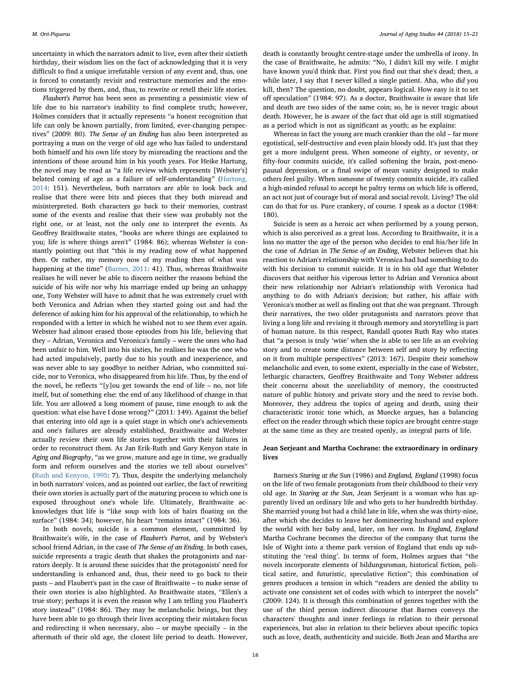uncertainty in which the narrators admit to live, even after their sixtieth birthday, their wisdom lies on the fact of acknowledging that it is very difficult to find a unique irrefutable version of any event and, thus, one is forced to constantly revisit and restructure memories and the emotions triggered by them, and, thus, to rewrite or retell their life stories.

Flaubert's Parrot has been seen as presenting a pessimistic view of life due to his narrator's inability to find complete truth; however, Holmes considers that it actually represents "a honest recognition that life can only be known partially, from limited, ever-changing perspectives" (2009: 80). The Sense of an Ending has also been interpreted as portraying a man on the verge of old age who has failed to understand both himself and his own life story by misreading the reactions and the intentions of those around him in his youth years. For Heike Hartung, the novel may be read as "a life review which represents [Webster's] belated coming of age as a failure of self-understanding" [\(Hartung,](#page-6-21) [2014:](#page-6-21) 151). Nevertheless, both narrators are able to look back and realise that there were bits and pieces that they both misread and misinterpreted. Both characters go back to their memories, contrast some of the events and realise that their view was probably not the right one, or at least, not the only one to interpret the events. As Geoffrey Braithwaite states, "books are where things are explained to you; life is where things aren't" (1984: 86); whereas Webster is constantly pointing out that "this is my reading now of what happened then. Or rather, my memory now of my reading then of what was happening at the time" ([Barnes, 2011](#page-6-22): 41). Thus, whereas Braithwaite realises he will never be able to discern neither the reasons behind the suicide of his wife nor why his marriage ended up being an unhappy one, Tony Webster will have to admit that he was extremely cruel with both Veronica and Adrian when they started going out and had the deference of asking him for his approval of the relationship, to which he responded with a letter in which he wished not to see them ever again. Webster had almost erased those episodes from his life, believing that they – Adrian, Veronica and Veronica's family – were the ones who had been unfair to him. Well into his sixties, he realises he was the one who had acted impulsively, partly due to his youth and inexperience, and was never able to say goodbye to neither Adrian, who committed suicide, nor to Veronica, who disappeared from his life. Thus, by the end of the novel, he reflects "[y]ou get towards the end of life – no, not life itself, but of something else: the end of any likelihood of change in that life. You are allowed a long moment of pause, time enough to ask the question: what else have I done wrong?" (2011: 149). Against the belief that entering into old age is a quiet stage in which one's achievements and one's failures are already established, Braithwaite and Webster actually review their own life stories together with their failures in order to reconstruct them. As Jan Erik-Ruth and Gary Kenyon state in Aging and Biography, "as we grow, mature and age in time, we gradually form and reform ourselves and the stories we tell about ourselves" ([Ruth and Kenyon, 1995:](#page-6-23) 7). Thus, despite the underlying melancholy in both narrators' voices, and as pointed out earlier, the fact of rewriting their own stories is actually part of the maturing process to which one is exposed throughout one's whole life. Ultimately, Braithwaite acknowledges that life is "like soup with lots of hairs floating on the surface" (1984: 34); however, his heart "remains intact" (1984: 36).

In both novels, suicide is a common element, committed by Braithwaite's wife, in the case of Flaubert's Parrot, and by Webster's school friend Adrian, in the case of The Sense of an Ending. In both cases, suicide represents a tragic death that shakes the protagonists and narrators deeply. It is around these suicides that the protagonists' need for understanding is enhanced and, thus, their need to go back to their pasts – and Flaubert's past in the case of Braithwaite – to make sense of their own stories is also highlighted. As Braithwaite states, "Ellen's a true story; perhaps it is even the reason why I am telling you Flaubert's story instead" (1984: 86). They may be melancholic beings, but they have been able to go through their lives accepting their mistaken focus and redirecting it when necessary, also – or maybe specially – in the aftermath of their old age, the closest life period to death. However,

death is constantly brought centre-stage under the umbrella of irony. In the case of Braithwaite, he admits: "No, I didn't kill my wife. I might have known you'd think that. First you find out that she's dead; then, a while later, I say that I never killed a single patient. Aha, who did you kill, then? The question, no doubt, appears logical. How easy is it to set off speculation" (1984: 97). As a doctor, Braithwaite is aware that life and death are two sides of the same coin; so, he is never tragic about death. However, he is aware of the fact that old age is still stigmatised as a period which is not as significant as youth; as he explains:

Whereas in fact the young are much crankier than the old – far more egotistical, self-destructive and even plain bloody odd. It's just that they get a more indulgent press. When someone of eighty, or seventy, or fifty-four commits suicide, it's called softening the brain, post-menopausal depression, or a final swipe of mean vanity designed to make others feel guilty. When someone of twenty commits suicide, it's called a high-minded refusal to accept he paltry terms on which life is offered, an act not just of courage but of moral and social revolt. Living? The old can do that for us. Pure crankery, of course. I speak as a doctor (1984: 180).

Suicide is seen as a heroic act when performed by a young person, which is also perceived as a great loss. According to Braithwaite, it is a loss no matter the age of the person who decides to end his/her life In the case of Adrian in The Sense of an Ending, Webster believes that his reaction to Adrian's relationship with Veronica had had something to do with his decision to commit suicide. It is in his old age that Webster discovers that neither his viperous letter to Adrian and Veronica about their new relationship nor Adrian's relationship with Veronica had anything to do with Adrian's decision; but rather, his affair with Veronica's mother as well as finding out that she was pregnant. Through their narratives, the two older protagonists and narrators prove that living a long life and revising it through memory and storytelling is part of human nature. In this respect, Randall quotes Ruth Ray who states that "a person is truly 'wise' when she is able to see life as an evolving story and to create some distance between self and story by reflecting on it from multiple perspectives" (2013: 167). Despite their somehow melancholic and even, to some extent, especially in the case of Webster, lethargic characters, Geoffrey Braithwaite and Tony Webster address their concerns about the unreliability of memory, the constructed nature of public history and private story and the need to revise both. Moreover, they address the topics of ageing and death, using their characteristic ironic tone which, as Muecke argues, has a balancing effect on the reader through which these topics are brought centre-stage at the same time as they are treated openly, as integral parts of life.

## Jean Serjeant and Martha Cochrane: the extraordinary in ordinary lives

Barnes's Staring at the Sun (1986) and England, England (1998) focus on the life of two female protagonists from their childhood to their very old age. In Staring at the Sun, Jean Serjeant is a woman who has apparently lived an ordinary life and who gets to her hundredth birthday. She married young but had a child late in life, when she was thirty-nine, after which she decides to leave her domineering husband and explore the world with her baby and, later, on her own. In England, England Martha Cochrane becomes the director of the company that turns the Isle of Wight into a theme park version of England that ends up substituting the 'real thing'. In terms of form, Holmes argues that "the novels incorporate elements of bildungsroman, historical fiction, political satire, and futuristic, speculative fiction"; this combination of genres produces a tension in which "readers are denied the ability to activate one consistent set of codes with which to interpret the novels" (2009: 124). It is through this combination of genres together with the use of the third person indirect discourse that Barnes conveys the characters' thoughts and inner feelings in relation to their personal experiences, but also in relation to their believes about specific topics such as love, death, authenticity and suicide. Both Jean and Martha are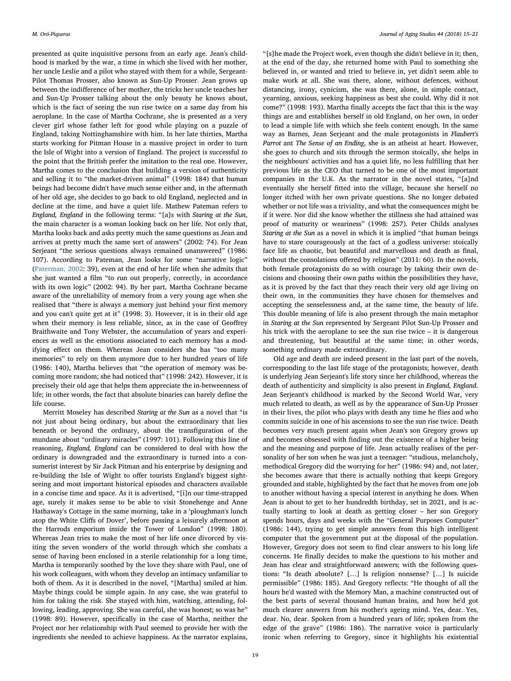presented as quite inquisitive persons from an early age. Jean's childhood is marked by the war, a time in which she lived with her mother, her uncle Leslie and a pilot who stayed with them for a while, Sergeant-Pilot Thomas Prosser, also known as Sun-Up Prosser. Jean grows up between the indifference of her mother, the tricks her uncle teaches her and Sun-Up Prosser talking about the only beauty he knows about, which is the fact of seeing the sun rise twice on a same day from his aeroplane. In the case of Martha Cochrane, she is presented as a very clever girl whose father left for good while playing on a puzzle of England, taking Nottinghamshire with him. In her late thirties, Martha starts working for Pitman House in a massive project in order to turn the Isle of Wight into a version of England. The project is successful to the point that the British prefer the imitation to the real one. However, Martha comes to the conclusion that building a version of authenticity and selling it to "the market-driven animal" (1998: 184) that human beings had become didn't have much sense either and, in the aftermath of her old age, she decides to go back to old England, neglected and in decline at the time, and have a quiet life. Mathew Pateman refers to England, England in the following terms: "[a]s with Staring at the Sun, the main character is a woman looking back on her life. Not only that, Martha looks back and asks pretty much the same questions as Jean and arrives at pretty much the same sort of answers" (2002: 74). For Jean Serjeant "the serious questions always remained unanswered" (1986: 107). According to Pateman, Jean looks for some "narrative logic" ([Paterman, 2002](#page-6-5): 39), even at the end of her life when she admits that she just wanted a film "to run out properly, correctly, in accordance with its own logic" (2002: 94). By her part, Martha Cochrane became aware of the unreliability of memory from a very young age when she realised that "there is always a memory just behind your first memory and you can't quite get at it" (1998: 3). However, it is in their old age when their memory is less reliable, since, as in the case of Geoffrey Braithwaite and Tony Webster, the accumulation of years and experiences as well as the emotions associated to each memory has a modifying effect on them. Whereas Jean considers she has "too many memories" to rely on them anymore due to her hundred years of life (1986: 140), Martha believes that "the operation of memory was becoming more random; she had noticed that" (1998: 242). However, it is precisely their old age that helps them appreciate the in-betweenness of life; in other words, the fact that absolute binaries can barely define the life course.

Merritt Moseley has described Staring at the Sun as a novel that "is not just about being ordinary, but about the extraordinary that lies beneath or beyond the ordinary, about the transfiguration of the mundane about "ordinary miracles" (1997: 101). Following this line of reasoning, England, England can be considered to deal with how the ordinary is downgraded and the extraordinary is turned into a consumerist interest by Sir Jack Pitman and his enterprise by designing and re-building the Isle of Wight to offer tourists England's biggest sightseeing and most important historical episodes and characters available in a concise time and space. As it is advertised, "[i]n our time-strapped age, surely it makes sense to be able to visit Stonehenge and Anne Hathaway's Cottage in the same morning, take in a 'ploughman's lunch atop the White Cliffs of Dover', before passing a leisurely afternoon at the Harrods emporium inside the Tower of London" (1998: 180). Whereas Jean tries to make the most of her life once divorced by visiting the seven wonders of the world through which she combats a sense of having been enclosed in a sterile relationship for a long time, Martha is temporarily soothed by the love they share with Paul, one of his work colleagues, with whom they develop an intimacy unfamiliar to both of them. As it is described in the novel, "[Martha] smiled at him. Maybe things could be simple again. In any case, she was grateful to him for taking the risk. She stayed with him, watching, attending, following, leading, approving. She was careful, she was honest; so was he" (1998: 89). However, specifically in the case of Martha, neither the Project nor her relationship with Paul seemed to provide her with the ingredients she needed to achieve happiness. As the narrator explains,

"[s]he made the Project work, even though she didn't believe in it; then, at the end of the day, she returned home with Paul to something she believed in, or wanted and tried to believe in, yet didn't seem able to make work at all. She was there, alone, without defences, without distancing, irony, cynicism, she was there, alone, in simple contact, yearning, anxious, seeking happiness as best she could. Why did it not come?" (1998: 193). Martha finally accepts the fact that this is the way things are and establishes herself in old England, on her own, in order to lead a simple life with which she feels content enough. In the same way as Barnes, Jean Serjeant and the male protagonists in Flaubert's Parrot ant The Sense of an Ending, she is an atheist at heart. However, she goes to church and sits through the sermon stoically, she helps in the neighbours' activities and has a quiet life, no less fulfilling that her previous life as the CEO that turned to be one of the most important companies in the U.K. As the narrator in the novel states, "[a]nd eventually she herself fitted into the village, because she herself no longer itched with her own private questions. She no longer debated whether or not life was a triviality, and what the consequences might be if it were. Nor did she know whether the stillness she had attained was proof of maturity or weariness" (1998: 257). Peter Childs analyses Staring at the Sun as a novel in which it is implied "that human beings have to stare courageously at the fact of a godless universe: stoically face life as chaotic, but beautiful and marvellous and death as final, without the consolations offered by religion" (2011: 60). In the novels, both female protagonists do so with courage by taking their own decisions and choosing their own paths within the possibilities they have, as it is proved by the fact that they reach their very old age living on their own, in the communities they have chosen for themselves and accepting the senselessness and, at the same time, the beauty of life. This double meaning of life is also present through the main metaphor in Staring at the Sun represented by Sergeant Pilot Sun-Up Prosser and his trick with the aeroplane to see the sun rise twice – it is dangerous and threatening, but beautiful at the same time; in other words, something ordinary made extraordinary.

Old age and death are indeed present in the last part of the novels, corresponding to the last life stage of the protagonists; however, death is underlying Jean Serjeant's life story since her childhood, whereas the death of authenticity and simplicity is also present in England, England. Jean Serjeant's childhood is marked by the Second World War, very much related to death, as well as by the appearance of Sun-Up Prosser in their lives, the pilot who plays with death any time he flies and who commits suicide in one of his ascensions to see the sun rise twice. Death becomes very much present again when Jean's son Gregory grows up and becomes obsessed with finding out the existence of a higher being and the meaning and purpose of life. Jean actually realises of the personality of her son when he was just a teenager: "studious, melancholy, methodical Gregory did the worrying for her" (1986: 94) and, not later, she becomes aware that there is actually nothing that keeps Gregory grounded and stable, highlighted by the fact that he moves from one job to another without having a special interest in anything he does. When Jean is about to get to her hundredth birthday, set in 2021, and is actually starting to look at death as getting closer – her son Gregory spends hours, days and weeks with the "General Purposes Computer" (1986: 144), trying to get simple answers from this high intelligent computer that the government put at the disposal of the population. However, Gregory does not seem to find clear answers to his long life concerns. He finally decides to make the questions to his mother and Jean has clear and straightforward answers; with the following questions: "Is death absolute? […] Is religion nonsense? […] Is suicide permissible" (1986: 185). And Gregory reflects: "He thought of all the hours he'd wasted with the Memory Man, a machine constructed out of the best parts of several thousand human brains, and how he'd got much clearer answers from his mother's ageing mind. Yes, dear. Yes, dear. No, dear. Spoken from a hundred years of life; spoken from the edge of the grave" (1986: 186). The narrative voice is particularly ironic when referring to Gregory, since it highlights his existential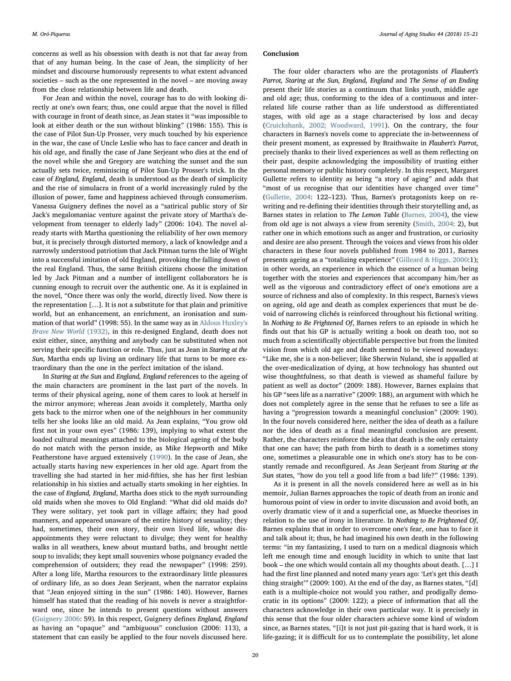concerns as well as his obsession with death is not that far away from that of any human being. In the case of Jean, the simplicity of her mindset and discourse humorously represents to what extent advanced societies – such as the one represented in the novel – are moving away from the close relationship between life and death.

For Jean and within the novel, courage has to do with looking directly at one's own fears; thus, one could argue that the novel is filled with courage in front of death since, as Jean states it "was impossible to look at either death or the sun without blinking" (1986: 155). This is the case of Pilot Sun-Up Prosser, very much touched by his experience in the war, the case of Uncle Leslie who has to face cancer and death in his old age, and finally the case of Jane Serjeant who dies at the end of the novel while she and Gregory are watching the sunset and the sun actually sets twice, reminiscing of Pilot Sun-Up Prosser's trick. In the case of England, England, death is understood as the death of simplicity and the rise of simulacra in front of a world increasingly ruled by the illusion of power, fame and happiness achieved through consumerism. Vanessa Guignery defines the novel as a "satirical public story of Sir Jack's megalomaniac venture against the private story of Martha's development from teenager to elderly lady" (2006: 104). The novel already starts with Martha questioning the reliability of her own memory but, it is precisely through distorted memory, a lack of knowledge and a narrowly understood patriotism that Jack Pitman turns the Isle of Wight into a successful imitation of old England, provoking the falling down of the real England. Thus, the same British citizens choose the imitation led by Jack Pitman and a number of intelligent collaborators he is cunning enough to recruit over the authentic one. As it is explained in the novel, "Once there was only the world, directly lived. Now there is the representation […]. It is not a substitute for that plain and primitive world, but an enhancement, an enrichment, an ironisation and summation of that world" (1998: 55). In the same way as in [Aldous Huxley's](#page-6-24) [Brave New World](#page-6-24) (1932), in this re-designed England, death does not exist either, since, anything and anybody can be substituted when not serving their specific function or role. Thus, just as Jean in Staring at the Sun, Martha ends up living an ordinary life that turns to be more extraordinary than the one in the perfect imitation of the island.

In Staring at the Sun and England, England references to the ageing of the main characters are prominent in the last part of the novels. In terms of their physical ageing, none of them cares to look at herself in the mirror anymore; whereas Jean avoids it completely, Martha only gets back to the mirror when one of the neighbours in her community tells her she looks like an old maid. As Jean explains, "You grow old first not in your own eyes" (1986: 139), implying to what extent the loaded cultural meanings attached to the biological ageing of the body do not match with the person inside, as Mike Hepworth and Mike Featherstone have argued extensively ([1990\)](#page-6-25). In the case of Jean, she actually starts having new experiences in her old age. Apart from the travelling she had started in her mid-fifties, she has her first lesbian relationship in his sixties and actually starts smoking in her eighties. In the case of England, England, Martha does stick to the myth surrounding old maids when she moves to Old England: "What did old maids do? They were solitary, yet took part in village affairs; they had good manners, and appeared unaware of the entire history of sexuality; they had, sometimes, their own story, their own lived life, whose disappointments they were reluctant to divulge; they went for healthy walks in all weathers, knew about mustard baths, and brought nettle soup to invalids; they kept small souvenirs whose poignancy evaded the comprehension of outsiders; they read the newspaper" (1998: 259). After a long life, Martha resources to the extraordinary little pleasures of ordinary life, as so does Jean Serjeant, when the narrator explains that "Jean enjoyed sitting in the sun" (1986: 140). However, Barnes himself has stated that the reading of his novels is never a straightforward one, since he intends to present questions without answers ([Guignery 2006](#page-6-19): 59). In this respect, Guignery defines England, England as having an "opaque" and "ambiguous" conclusion (2006: 113), a statement that can easily be applied to the four novels discussed here.

#### Conclusion

The four older characters who are the protagonists of Flaubert's Parrot, Staring at the Sun, England, England and The Sense of an Ending present their life stories as a continuum that links youth, middle age and old age; thus, conforming to the idea of a continuous and interrelated life course rather than as life understood as differentiated stages, with old age as a stage characterised by loss and decay ([Cruickshank, 2002; Woodward, 1991\)](#page-6-26). On the contrary, the four characters in Barnes's novels come to appreciate the in-betweenness of their present moment, as expressed by Braithwaite in Flaubert's Parrot, precisely thanks to their lived experiences as well as them reflecting on their past, despite acknowledging the impossibility of trusting either personal memory or public history completely. In this respect, Margaret Gullette refers to identity as being "a story of aging" and adds that "most of us recognise that our identities have changed over time" ([Gullette, 2004](#page-6-27): 122–123). Thus, Barnes's protagonists keep on rewriting and re-defining their identities through their storytelling and, as Barnes states in relation to The Lemon Table ([Barnes, 2004](#page-6-28)), the view from old age is not always a view from serenity ([Smith, 2004](#page-6-29): 2), but rather one in which emotions such as anger and frustration, or curiosity and desire are also present. Through the voices and views from his older characters in these four novels published from 1984 to 2011, Barnes presents ageing as a "totalizing experience" [\(Gilleard & Higgs, 2000:](#page-6-30)1); in other words, an experience in which the essence of a human being together with the stories and experiences that accompany him/her as well as the vigorous and contradictory effect of one's emotions are a source of richness and also of complexity. In this respect, Barnes's views on ageing, old age and death as complex experiences that must be devoid of narrowing clichés is reinforced throughout his fictional writing. In Nothing to Be Frightened Of, Barnes refers to an episode in which he finds out that his GP is actually writing a book on death too, not so much from a scientifically objectifiable perspective but from the limited vision from which old age and death seemed to be viewed nowadays: "Like me, she is a non-believer; like Sherwin Nuland, she is appalled at the over-medicalization of dying, at how technology has shunted out wise thoughtfulness, so that death is viewed as shameful failure by patient as well as doctor" (2009: 188). However, Barnes explains that his GP "sees life as a narrative" (2009: 188), an argument with which he does not completely agree in the sense that he refuses to see a life as having a "progression towards a meaningful conclusion" (2009: 190). In the four novels considered here, neither the idea of death as a failure nor the idea of death as a final meaningful conclusion are present. Rather, the characters reinforce the idea that death is the only certainty that one can have; the path from birth to death is a sometimes stony one, sometimes a pleasurable one in which one's story has to be constantly remade and reconfigured. As Jean Serjeant from Staring at the Sun states, "how do you tell a good life from a bad life?" (1986: 139).

As it is present in all the novels considered here as well as in his memoir, Julian Barnes approaches the topic of death from an ironic and humorous point of view in order to invite discussion and avoid both, an overly dramatic view of it and a superficial one, as Muecke theorises in relation to the use of irony in literature. In Nothing to Be Frightened Of, Barnes explains that in order to overcome one's fear, one has to face it and talk about it; thus, he had imagined his own death in the following terms: "in my fantasizing, I used to turn on a medical diagnosis which left me enough time and enough lucidity in which to unite that last book – the one which would contain all my thoughts about death. […] I had the first line planned and noted many years ago: 'Let's get this death thing straight'" (2009: 100). At the end of the day, as Barnes states, "[d] eath is a multiple-choice not would you rather, and prodigally democratic in its options" (2009: 122); a piece of information that all the characters acknowledge in their own particular way. It is precisely in this sense that the four older characters achieve some kind of wisdom since, as Barnes states, "[i]t is not just pit-gazing that is hard work, it is life-gazing; it is difficult for us to contemplate the possibility, let alone